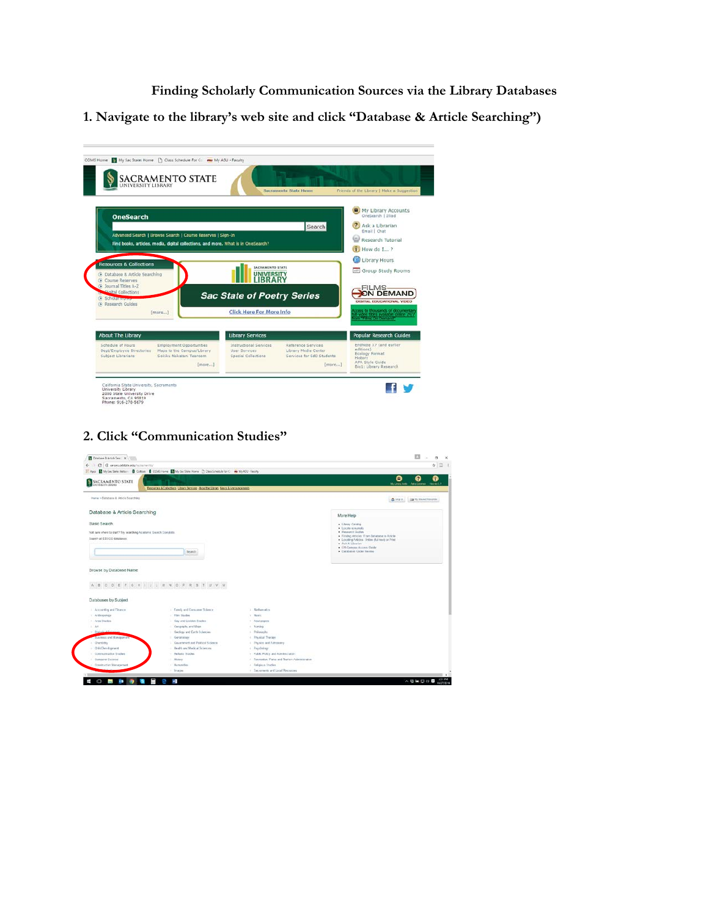**Finding Scholarly Communication Sources via the Library Databases**

**1. Navigate to the library's web site and click "Database & Article Searching")**

|                                                                                                                                                           | Sacramento State Home                                                                                                                     | Friends of the Library   Make a Suggesbun                                                     |
|-----------------------------------------------------------------------------------------------------------------------------------------------------------|-------------------------------------------------------------------------------------------------------------------------------------------|-----------------------------------------------------------------------------------------------|
| <b>OneSearch</b>                                                                                                                                          |                                                                                                                                           | <b>B</b> My Library Accounts<br>OneSearch   Illiad                                            |
|                                                                                                                                                           | Search                                                                                                                                    | Ask a Librarian<br>z.<br>Email   Chat                                                         |
| Advanced Search 1 Browse Search I Course Reserves I Sign-In<br>Find books, articles, media, digital collections, and more. What is in OneSearch?          |                                                                                                                                           | Research Tutorial                                                                             |
|                                                                                                                                                           |                                                                                                                                           | How do I., ?                                                                                  |
| <b>Resources &amp; Collections</b>                                                                                                                        | <b>SACRAMENTO STATE</b>                                                                                                                   | Library Hours                                                                                 |
| 3 Database & Article Searching                                                                                                                            | <b>UNIVERSITY</b>                                                                                                                         | Group Study Rooms                                                                             |
| Course Reserves<br>G Journal Titles A-Z                                                                                                                   |                                                                                                                                           | FILMS-                                                                                        |
| <b>Sighal Collections</b>                                                                                                                                 |                                                                                                                                           |                                                                                               |
| <b>B</b> Scholar www.                                                                                                                                     | <b>Sac State of Poetry Series</b>                                                                                                         | ON DEMAND<br>DIGITAL EDUCATIONAL VIDEO                                                        |
| (A) Research Guides<br>[more]                                                                                                                             | Click Here For More Info                                                                                                                  | coass to thousands of documentar<br>Il video titles available online 247<br>on Flos On Denand |
| <b>About The Library</b>                                                                                                                                  | <b>Library Services</b>                                                                                                                   | <b>Popular Research Guides</b>                                                                |
| Schedule of Hours<br>Employment Opportunities<br>Dept/Employee Directories<br>Maps to the Campus/Library<br>Sokiku Nakatani Tearoom<br>Subject Librarians | Reference Services<br>Instructional Services<br>Library Media Center<br>User Services<br>Services for EdD Students<br>Special Collections | EndNote X7 (and earlier<br>editions)<br>Ecology Format<br>History.<br>APA Style Guide         |

**2. Click "Communication Studies"**

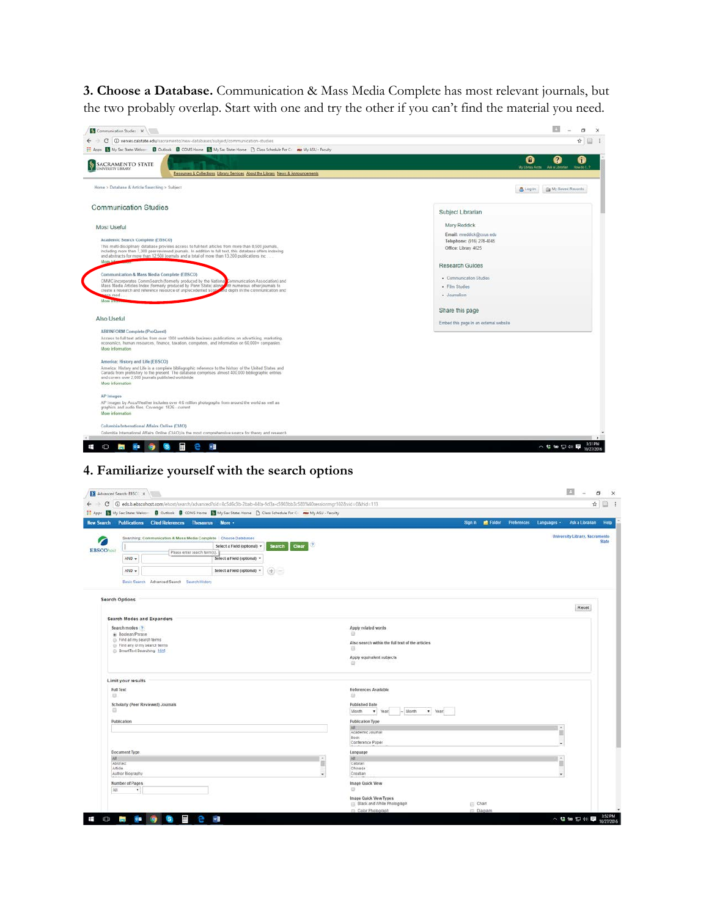**3. Choose a Database.** Communication & Mass Media Complete has most relevant journals, but the two probably overlap. Start with one and try the other if you can't find the material you need.



## **4. Familiarize yourself with the search options**

|                       |                                                         | ← → C   ① eds.b.ebscohost.com/ehost/search/advanced?sid=8c5d6c3b-2fab-44fa-9d3a-c5903bb3c583%40sessionsngr102&vid=0&hid=113      |                             |                                      |                                                  |               |  |                                                               | ia.<br>Ý. |
|-----------------------|---------------------------------------------------------|----------------------------------------------------------------------------------------------------------------------------------|-----------------------------|--------------------------------------|--------------------------------------------------|---------------|--|---------------------------------------------------------------|-----------|
|                       |                                                         | [1] Apps [3] My Sac State: Welcom [3] Outlook [3] CDMS Home [3] My Sac State: Home [3] Class Schedule For C= na My ASU + Faculty |                             |                                      |                                                  |               |  |                                                               |           |
| <b>New Search</b>     |                                                         | Publications Cited References Thesaurus More +                                                                                   |                             |                                      |                                                  |               |  | Sign in E Folder Preferences Languages - Ask a Librarian Help |           |
|                       |                                                         | Searching: Communication & Mass Media Complete Choose Databases                                                                  |                             |                                      |                                                  |               |  | University Library, Sacramento                                |           |
| ╱<br><b>EBSCOhost</b> |                                                         |                                                                                                                                  | Select a Field (optional) * | $\left( 7\right)$<br>Clear<br>Search |                                                  |               |  |                                                               | State     |
|                       |                                                         | Please enter search term(s).                                                                                                     |                             |                                      |                                                  |               |  |                                                               |           |
|                       | $AND -$                                                 |                                                                                                                                  | Select a Field (optional) - |                                      |                                                  |               |  |                                                               |           |
|                       | $AND -$                                                 |                                                                                                                                  | Select a Field (optional) = | $(+)$                                |                                                  |               |  |                                                               |           |
|                       |                                                         | Basic Search Advanced Search Search History                                                                                      |                             |                                      |                                                  |               |  |                                                               |           |
|                       |                                                         |                                                                                                                                  |                             |                                      |                                                  |               |  |                                                               |           |
|                       | <b>Search Options</b>                                   |                                                                                                                                  |                             |                                      |                                                  |               |  | Reset                                                         |           |
|                       |                                                         |                                                                                                                                  |                             |                                      |                                                  |               |  |                                                               |           |
|                       |                                                         | Search Modes and Expanders                                                                                                       |                             |                                      |                                                  |               |  |                                                               |           |
|                       | Search modes (?)<br>Boolean/Phrase                      |                                                                                                                                  |                             |                                      | Apply related words<br>Ð                         |               |  |                                                               |           |
|                       | Eind all my search terms                                |                                                                                                                                  |                             |                                      | Also search within the full text of the articles |               |  |                                                               |           |
|                       | Find any of my search terms<br>SmartText Searching Hint |                                                                                                                                  |                             |                                      | 日                                                |               |  |                                                               |           |
|                       |                                                         |                                                                                                                                  |                             |                                      | Apply equivalent subjects                        |               |  |                                                               |           |
|                       |                                                         |                                                                                                                                  |                             |                                      | 11                                               |               |  |                                                               |           |
|                       | Limit your results                                      |                                                                                                                                  |                             |                                      |                                                  |               |  |                                                               |           |
| Full Text             |                                                         |                                                                                                                                  |                             |                                      | References Available                             |               |  |                                                               |           |
| 日                     |                                                         |                                                                                                                                  |                             |                                      | 自                                                |               |  |                                                               |           |
|                       |                                                         | Scholarly (Peer Reviewed) Journals                                                                                               |                             |                                      | Published Date                                   |               |  |                                                               |           |
| 日                     |                                                         |                                                                                                                                  |                             |                                      | $-146$ onth<br>Month<br>v Year<br>v Year         |               |  |                                                               |           |
|                       | Publication                                             |                                                                                                                                  |                             |                                      | Publication Type                                 |               |  |                                                               |           |
|                       |                                                         |                                                                                                                                  |                             |                                      | WH                                               |               |  |                                                               |           |
|                       |                                                         |                                                                                                                                  |                             |                                      | Academic Journal<br>Book                         |               |  |                                                               |           |
|                       |                                                         |                                                                                                                                  |                             |                                      | Conference Paper                                 |               |  |                                                               |           |
|                       | Document Type                                           |                                                                                                                                  |                             |                                      | Language                                         |               |  |                                                               |           |
| AII<br>Abstract       |                                                         |                                                                                                                                  |                             |                                      | WIL<br>Catalan                                   |               |  |                                                               |           |
| Article               |                                                         |                                                                                                                                  |                             |                                      | Chinese                                          |               |  |                                                               |           |
|                       | Author Biography                                        |                                                                                                                                  |                             |                                      | Croatian                                         |               |  |                                                               |           |
|                       | Number of Pages                                         |                                                                                                                                  |                             |                                      | Image Quick View                                 |               |  |                                                               |           |
| Ali                   | $\mathbf{v}$                                            |                                                                                                                                  |                             |                                      | $\bigcirc$                                       |               |  |                                                               |           |
|                       |                                                         |                                                                                                                                  |                             |                                      | Image Quick View Types                           |               |  |                                                               |           |
|                       |                                                         |                                                                                                                                  |                             |                                      | Elack and White Photograph                       | Chart         |  |                                                               |           |
|                       |                                                         |                                                                                                                                  |                             |                                      | Color Photograph                                 | (III) Diagram |  |                                                               |           |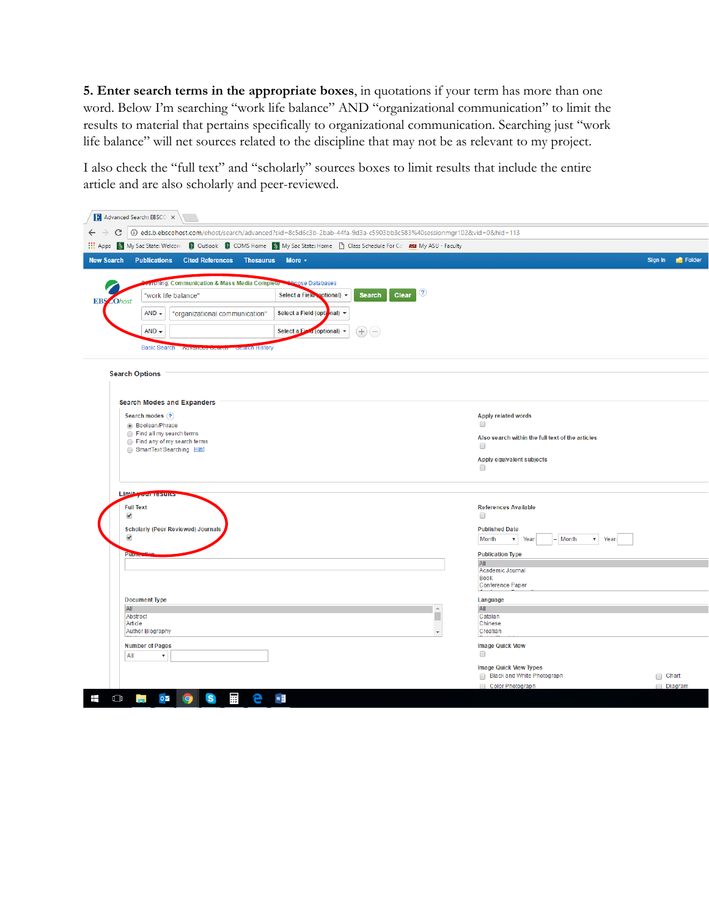**5. Enter search terms in the appropriate boxes**, in quotations if your term has more than one word. Below I'm searching "work life balance" AND "organizational communication" to limit the results to material that pertains specifically to organizational communication. Searching just "work life balance" will net sources related to the discipline that may not be as relevant to my project.

I also check the "full text" and "scholarly" sources boxes to limit results that include the entire article and are also scholarly and peer-reviewed.

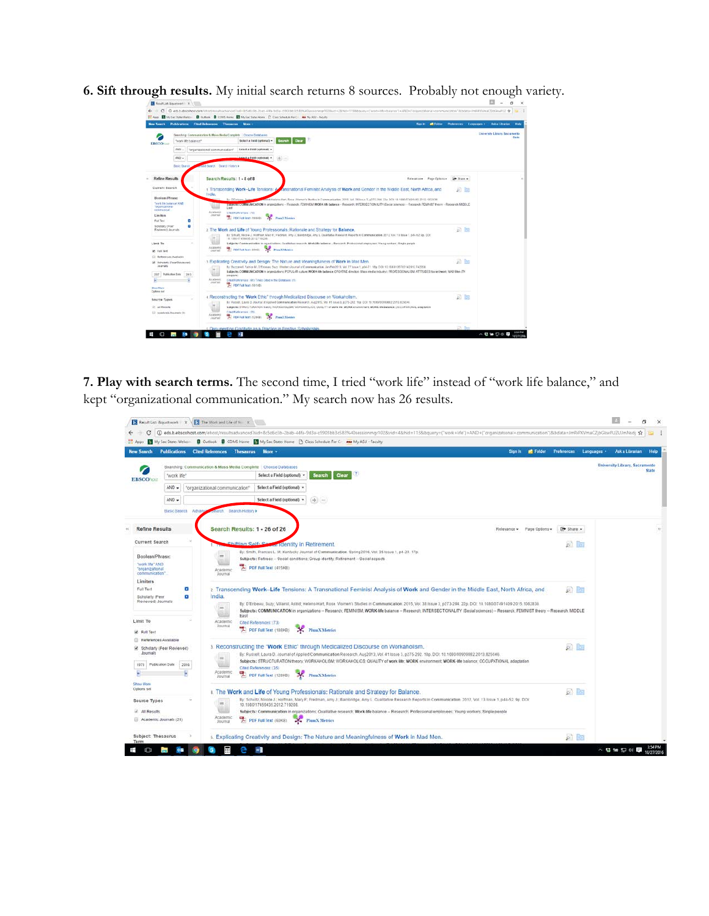|                                                                                                                                  |                                     | New Search Publications Cited References Thesearce More .<br>Spite:                                                                                                                                                                                                                                                                                                                                                                                                                                                                                                                         | E Foker Professions Languages > Ask a Ubrarian | Halp                                        |
|----------------------------------------------------------------------------------------------------------------------------------|-------------------------------------|---------------------------------------------------------------------------------------------------------------------------------------------------------------------------------------------------------------------------------------------------------------------------------------------------------------------------------------------------------------------------------------------------------------------------------------------------------------------------------------------------------------------------------------------------------------------------------------------|------------------------------------------------|---------------------------------------------|
| <b>EBSCO</b> NSH                                                                                                                 | "work life balance"                 | Searching Communication & Moss Media Complete Chocoa Datebases<br>Sciecta Field (optional) =<br><b>Search</b><br>Clear:                                                                                                                                                                                                                                                                                                                                                                                                                                                                     |                                                | University Library, Secretaristic<br>Starte |
|                                                                                                                                  | $100 - 1$<br>$ABD =$                | Salect a Fight (optional) +<br>"organizational communication"<br>V (MAO300112041 + 2014)                                                                                                                                                                                                                                                                                                                                                                                                                                                                                                    |                                                |                                             |
|                                                                                                                                  | <b>Danic Deal</b>                   | cold Search Dearch Hoton a                                                                                                                                                                                                                                                                                                                                                                                                                                                                                                                                                                  |                                                |                                             |
| <b>Refine Results</b>                                                                                                            |                                     | Search Results: 1 - 8 of 8<br>Relevance - Page Optom - 120 State +                                                                                                                                                                                                                                                                                                                                                                                                                                                                                                                          |                                                |                                             |
| Current Search<br>Boolean/Phrase:<br>"work like behavior" AND<br>Torbon East on all<br><b>LUMPRALA</b><br>Lien Ross<br>Full Test | п                                   | 1 Transcending Work-Life Tensions: A Annanational Feminist Analysis of Work and Gender in the Middle East, North Africa, and<br>India.<br>And Helen-Hart Rose Warner's Budles in Communication 2015, Vol. 36 Issue 3, a775-294-72s, DCr. 18.1890/07491499-2015 1003838.<br>By O'Colstea Barry 1979<br>Saporter LAMMUNICATION in promisiners - Research: REMINISM WORK-Re balance - Research: WTERSECTION/LITY (Sociol Stencos) - Research / REMINIST their - Research MDDLE<br>East<br>Academic<br>Critical Hollenships (7.8)<br>Jeans<br><b>EXICO THE REAL TERRITORY</b><br>N. PlanXMenter | $19.7 - 12.7$                                  |                                             |
| sonoigni (Feet<br>Regissrach Jaugush.<br>Limit To<br>W. FullTed                                                                  | ۰                                   | 2. The Work and Life of Young Professionals: Rationale and Strategy for Balance.<br>By Schultz Recore J. Hoffman, Mary E. Practicus, Arty J. Barnheim Co., Arty L. Qualitative Reserve Reports in Communication: 2012. Vol. 13 Bldge 1, p44-52, Sb. DOC<br>18.1000/17 459 A35, 2012 7:02:28<br>ш<br>Subjects: Communication in expandrations. Qualitative research. Work 48e fasketes - Research: Professional employmes, Young recibers, Single people.<br>Acapeatic<br>The cost can be a crossing<br>Flam X Mentis<br>Jaumel                                                              | 运加                                             |                                             |
| <b>E. References Australia</b><br>Journals<br>2027 Publication Date:<br><b>Show Muse</b><br>Colinas set                          | A Scholarly Pear Routeved L<br>2815 | 1 Explicating Creativity and Design: The Nature and Meaningfulness of Work in Mad Men.<br>By Record Fallice M. O'Febrar, Sury Weders Journal of Communication, Jan/N-b7013, Vol 37 Issue 1, aS4-71 18p DOI: 10 1683/13570314.2012 747558<br>Satischi: COMMUNICATION in promiselent: POPULAR culture WORK 4th betance: CREATIVE directors (Mass media industry) PROFESSIONALISM: ATTITUDES toured work: MAD Men (TV)<br>stegram)<br>Academic<br>Client References: INTO Tanks Client in this Detablish: ITU<br><b>JAMESEE</b><br>The PDF Full Text (501HB)                                   | ph Bs                                          |                                             |
| Source Types<br>- At Retutts<br>[1] Anademic Josemals (8).                                                                       |                                     | + Reconstructing the "Work Ethic" through Medicalized Discourse on Workaholism,<br>By Ruccol, Laug D. Journal of Applied Commissionbes Research, Aug2012, Vol. 41 (sea) 3, £275-202, T89-DOI, 10,10800000882-2013 \$25046<br>National STRUCTURATION there; WORKAHOLISM WORKAHOLICS; CEALITY of work life WORK environment WORK 49 Balance; COCUPATIONAL adaptation<br>Cled References (15)<br>Academic<br>State of the fact (1200)<br>M. Plant Membre<br><b>Jackson</b>                                                                                                                     | 武服                                             |                                             |
|                                                                                                                                  |                                     | 4. Documenting Gratitude as a Practice in Positive Scholarship                                                                                                                                                                                                                                                                                                                                                                                                                                                                                                                              | <b>IZI Bo</b>                                  |                                             |

**6. Sift through results.** My initial search returns 8 sources. Probably not enough variety.

**7. Play with search terms.** The second time, I tried "work life" instead of "work life balance," and kept "organizational communication." My search now has 26 results.

| c<br>Apos                                                                                            |                     |        |                                                                 |                                                      | (D) eds.b.ebscohost.com/ehost/resultsadvanced/tid=8c5d6c3b-2bab-44fa-9d3a-c5903bb3c583%40sessionmgr1028vid=4Bhid=1138bquery=('work+life'')+AND+('organizational+communication')8bdata=JmRiPXVmsCZjbGkwPUZUJmNsdj ;<br>My Sac State: Welcom <b>D</b> Outlook <b>D</b> COMS Home <b>CO</b> My Sac State: Home <b>CO</b> Class Schedule For Cm and My ASU - Faculty                                                                                                                                             |                            |                            |                                |
|------------------------------------------------------------------------------------------------------|---------------------|--------|-----------------------------------------------------------------|------------------------------------------------------|--------------------------------------------------------------------------------------------------------------------------------------------------------------------------------------------------------------------------------------------------------------------------------------------------------------------------------------------------------------------------------------------------------------------------------------------------------------------------------------------------------------|----------------------------|----------------------------|--------------------------------|
| <b>New Search</b>                                                                                    | <b>Publications</b> |        | <b>Cited References Thesaurus</b>                               | More -                                               |                                                                                                                                                                                                                                                                                                                                                                                                                                                                                                              | <b>P</b> Folder<br>Sign In | Preferences<br>Languages . | Help<br>Ask a Librarian        |
|                                                                                                      |                     |        | Searching: Communication & Mass Media Complete Choose Databases |                                                      |                                                                                                                                                                                                                                                                                                                                                                                                                                                                                                              |                            |                            | University Library, Sacramento |
| <b>EBSCOhost</b>                                                                                     | "work life"         |        |                                                                 | Select a Field (optional) -<br>Search<br>Clear       |                                                                                                                                                                                                                                                                                                                                                                                                                                                                                                              |                            | <b>State</b>               |                                |
|                                                                                                      | $AND -$             |        | "organizational communication"                                  | Select a Field (optional) +                          |                                                                                                                                                                                                                                                                                                                                                                                                                                                                                                              |                            |                            |                                |
|                                                                                                      | $AND -$             |        |                                                                 | Select a Field (optional) +                          | $+ -$                                                                                                                                                                                                                                                                                                                                                                                                                                                                                                        |                            |                            |                                |
|                                                                                                      | Basic Search        | Advan: | earch Search History F                                          |                                                      |                                                                                                                                                                                                                                                                                                                                                                                                                                                                                                              |                            |                            |                                |
| <b>Refine Results</b>                                                                                |                     |        | Search Results: 1 - 26 of 26                                    |                                                      |                                                                                                                                                                                                                                                                                                                                                                                                                                                                                                              | Relevance - Page Options - | Bhare -                    |                                |
| Current Search<br>Boolean/Phrase:<br>work life" AND<br>"organizational<br>communication"<br>Limiters |                     |        | <b>Shifting Self: Sex</b><br>im.<br>Academic<br>Journal         | PDF Full Text (415KB)                                | ar identity in Retirement.<br>By: Smith, Frances L. M. Kentucky Journal of Communication. Spring2016, Vol. 35 Issue 1, p4-20, 17p.<br>Subjects: Retrees -- Social conditions: Group identity: Retrement -- Social aspects                                                                                                                                                                                                                                                                                    |                            | $p$ <sup>1</sup>           |                                |
| Full Text<br>Scholarly (Peer<br>Reviewed) Journals<br>Limit To                                       |                     | Œ<br>Œ | India.<br>m<br>East<br>Academic<br>Journal                      | Cited References: (73)<br>PDF Full Text (199KB)      | 2 Transcending Work-Life Tensions: A Transnational Feminist Analysis of Work and Gender in the Middle East, North Africa, and<br>By: D'Enbeau, Suzy, Villamil, Astrid; Helens-Hart, Rose Women's Studies in Communication. 2015, Vol. 38 Issue 3, p273-294. 22p. DOI: 10.1080/07491409.2015.1062838.<br>Subjects: COMMUNICATION in organizations -- Research; FEMINISM; WORK-life balance -- Research; INTERSECTIONALITY (Social sciences) -- Research; FEMINIST theory -- Research; MIDDLE<br>PlumX Metrics |                            | $\rho$ $\sim$              |                                |
| Pull Text<br>References Available<br>Scholarly (Peer Reviewed)<br>Journals<br>1978                   | Publication Date    | 2016   | im<br>Academic<br>Journal                                       | Cited References: (35)<br>PDF Full Text (128KB)      | 3 Reconstructing the "Work Ethic" through Medicalized Discourse on Workaholism.<br>By: Russell, Laura D. Journal of Applied Communication Research. Aug2013, Vol. 41 Issue 3, p275-292. 18p. DOI: 10.1080/0999882.2013.825046.<br>Subjects: STRUCTURATION theory; WORKAHOLISM; WORKAHOLICS; QUALITY of work life, WORK environment, WORK-life balance; OCCUPATIONAL adaptation<br>PlumX Metrics                                                                                                              |                            | p) is                      |                                |
| Show More<br>Options set<br>Source Types<br>All Results<br>Academic Journals (26)                    |                     |        | im.<br>Academic<br>Journal                                      | 10.1080/17459435.2012.719208<br>PDF Full Text (60KB) | 4 The Work and Life of Young Professionals: Rationale and Strategy for Balance.<br>By: Schultz, Nicole J.; Hoffman, Mary F.; Fredman, Amy J.; Bainbridge, Amy L. Qualitative Research Reports in Communication, 2012, Vol. 13 Issue 1, p44-52, 9p. DOI:<br>Subjects: Communication in organizations: Qualitative research: Work-life balance -- Research: Professional employees: Young workers: Single people<br>PlumX Metrics                                                                              |                            | b) M                       |                                |
| Subject: Thesaurus                                                                                   |                     |        |                                                                 |                                                      | 5. Explicating Creativity and Design: The Nature and Meaningfulness of Work in Mad Men.                                                                                                                                                                                                                                                                                                                                                                                                                      |                            | $\beta$                    |                                |